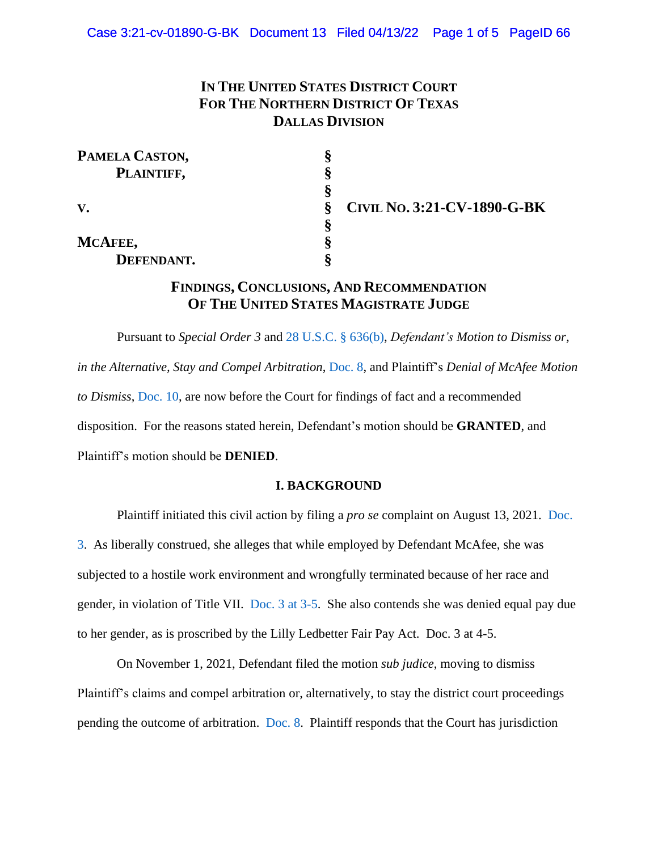# **IN THE UNITED STATES DISTRICT COURT FOR THE NORTHERN DISTRICT OF TEXAS DALLAS DIVISION**

| PAMELA CASTON,         |                                          |
|------------------------|------------------------------------------|
| PLAINTIFF,             |                                          |
|                        |                                          |
| $\mathbf{V}_{\bullet}$ | <b>CIVIL No. 3:21-CV-1890-G-BK</b><br>\$ |
|                        |                                          |
| MCAFEE,                |                                          |
| DEFENDANT.             |                                          |

## **FINDINGS, CONCLUSIONS, AND RECOMMENDATION OF THE UNITED STATES MAGISTRATE JUDGE**

Pursuant to *Special Order 3* and [28 U.S.C. § 636\(b\),](https://www.westlaw.com/Document/NE76D7C80E34E11DEA7C5EABE04182D4D/View/FullText.html?transitionType=Default&contextData=(sc.Default)&VR=3.0&RS=da3.0) *Defendant's Motion to Dismiss or, in the Alternative, Stay and Compel Arbitration*, [Doc. 8,](https://ecf.txnd.uscourts.gov/doc1/177114671149) and Plaintiff's *Denial of McAfee Motion to Dismiss*, [Doc. 10,](https://ecf.txnd.uscourts.gov/doc1/177114765172) are now before the Court for findings of fact and a recommended disposition. For the reasons stated herein, Defendant's motion should be **GRANTED**, and Plaintiff's motion should be **DENIED**.

## **I. BACKGROUND**

Plaintiff initiated this civil action by filing a *pro se* complaint on August 13, 2021. [Doc.](https://ecf.txnd.uscourts.gov/doc1/177114456254)  [3.](https://ecf.txnd.uscourts.gov/doc1/177114456254) As liberally construed, she alleges that while employed by Defendant McAfee, she was subjected to a hostile work environment and wrongfully terminated because of her race and gender, in violation of Title VII. [Doc. 3 at 3-5.](https://ecf.txnd.uscourts.gov/doc1/177114456254?page=3) She also contends she was denied equal pay due to her gender, as is proscribed by the Lilly Ledbetter Fair Pay Act. Doc. 3 at 4-5.

On November 1, 2021, Defendant filed the motion *sub judice*, moving to dismiss Plaintiff's claims and compel arbitration or, alternatively, to stay the district court proceedings pending the outcome of arbitration. [Doc. 8.](https://ecf.txnd.uscourts.gov/doc1/177114671149) Plaintiff responds that the Court has jurisdiction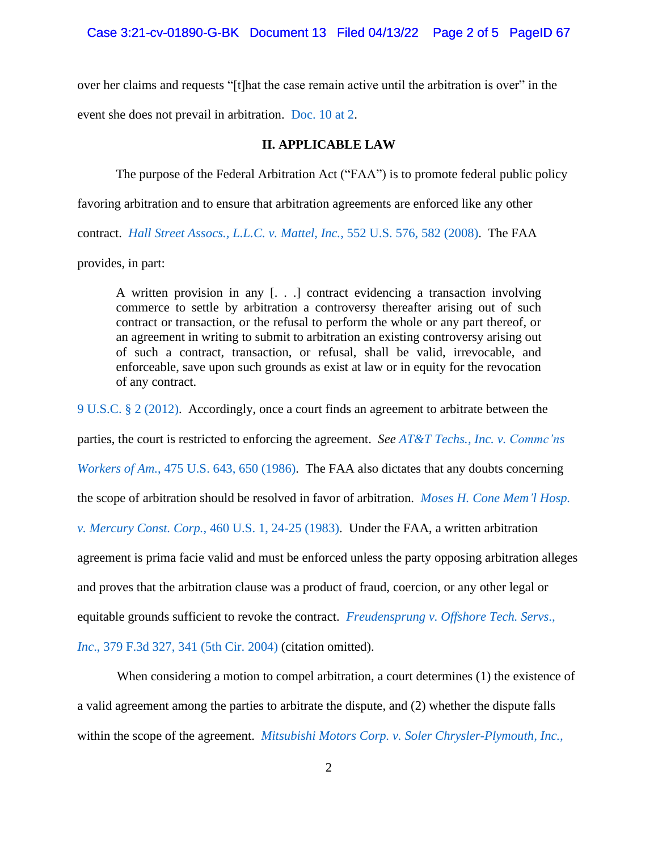over her claims and requests "[t]hat the case remain active until the arbitration is over" in the event she does not prevail in arbitration. [Doc. 10 at 2.](https://ecf.txnd.uscourts.gov/doc1/177114765172?page=2)

## **II. APPLICABLE LAW**

The purpose of the Federal Arbitration Act ("FAA") is to promote federal public policy

favoring arbitration and to ensure that arbitration agreements are enforced like any other

contract. *Hall Street Assocs., L.L.C. v. Mattel, Inc.*[, 552 U.S. 576, 582 \(2008\).](https://www.westlaw.com/Document/Ibd6c82f5fa5d11dca9c2f716e0c816ba/View/FullText.html?transitionType=Default&contextData=(sc.Default)&VR=3.0&RS=da3.0&fragmentIdentifier=co_pp_sp_780_582) The FAA

provides, in part:

A written provision in any [. . .] contract evidencing a transaction involving commerce to settle by arbitration a controversy thereafter arising out of such contract or transaction, or the refusal to perform the whole or any part thereof, or an agreement in writing to submit to arbitration an existing controversy arising out of such a contract, transaction, or refusal, shall be valid, irrevocable, and enforceable, save upon such grounds as exist at law or in equity for the revocation of any contract.

[9 U.S.C. § 2 \(2012\).](https://www.westlaw.com/Document/NC02233609E4D11EC8C95F2ECE9E71133/View/FullText.html?transitionType=Default&contextData=(sc.Default)&VR=3.0&RS=da3.0) Accordingly, once a court finds an agreement to arbitrate between the

parties, the court is restricted to enforcing the agreement. *See AT&T Techs., Inc. v. [Commc'ns](https://www.westlaw.com/Document/I6174e3fd9c1f11d9bc61beebb95be672/View/FullText.html?transitionType=Default&contextData=(sc.Default)&VR=3.0&RS=da3.0&fragmentIdentifier=co_pp_sp_780_650)*

*Workers of Am.*[, 475 U.S. 643, 650 \(1986\).](https://www.westlaw.com/Document/I6174e3fd9c1f11d9bc61beebb95be672/View/FullText.html?transitionType=Default&contextData=(sc.Default)&VR=3.0&RS=da3.0&fragmentIdentifier=co_pp_sp_780_650) The FAA also dictates that any doubts concerning

the scope of arbitration should be resolved in favor of arbitration. *Moses H. Cone [Mem'l](https://www.westlaw.com/Document/Ice9b1e059c9611d993e6d35cc61aab4a/View/FullText.html?transitionType=Default&contextData=(sc.Default)&VR=3.0&RS=da3.0&fragmentIdentifier=co_pp_sp_780_24) Hosp.*

*v. Mercury Const. Corp.*[, 460 U.S. 1, 24-25](https://www.westlaw.com/Document/Ice9b1e059c9611d993e6d35cc61aab4a/View/FullText.html?transitionType=Default&contextData=(sc.Default)&VR=3.0&RS=da3.0&fragmentIdentifier=co_pp_sp_780_24) (1983). Under the FAA, a written arbitration

agreement is prima facie valid and must be enforced unless the party opposing arbitration alleges

and proves that the arbitration clause was a product of fraud, coercion, or any other legal or

equitable grounds sufficient to revoke the contract. *[Freudensprung](https://www.westlaw.com/Document/I0f952a5d8bac11d99a6fdc806bf1638e/View/FullText.html?transitionType=Default&contextData=(sc.Default)&VR=3.0&RS=da3.0&fragmentIdentifier=co_pp_sp_506_341) v. Offshore Tech. Servs*.*,*

*Inc*[., 379 F.3d 327, 341 \(5th Cir. 2004\)](https://www.westlaw.com/Document/I0f952a5d8bac11d99a6fdc806bf1638e/View/FullText.html?transitionType=Default&contextData=(sc.Default)&VR=3.0&RS=da3.0&fragmentIdentifier=co_pp_sp_506_341) (citation omitted).

When considering a motion to compel arbitration, a court determines (1) the existence of a valid agreement among the parties to arbitrate the dispute, and (2) whether the dispute falls within the scope of the agreement. *Mitsubishi Motors Corp. v. Soler [Chrysler-Plymouth,](https://www.westlaw.com/Document/Ic1d899969c1e11d991d0cc6b54f12d4d/View/FullText.html?transitionType=Default&contextData=(sc.Default)&VR=3.0&RS=da3.0&fragmentIdentifier=co_pp_sp_780_626) Inc.,*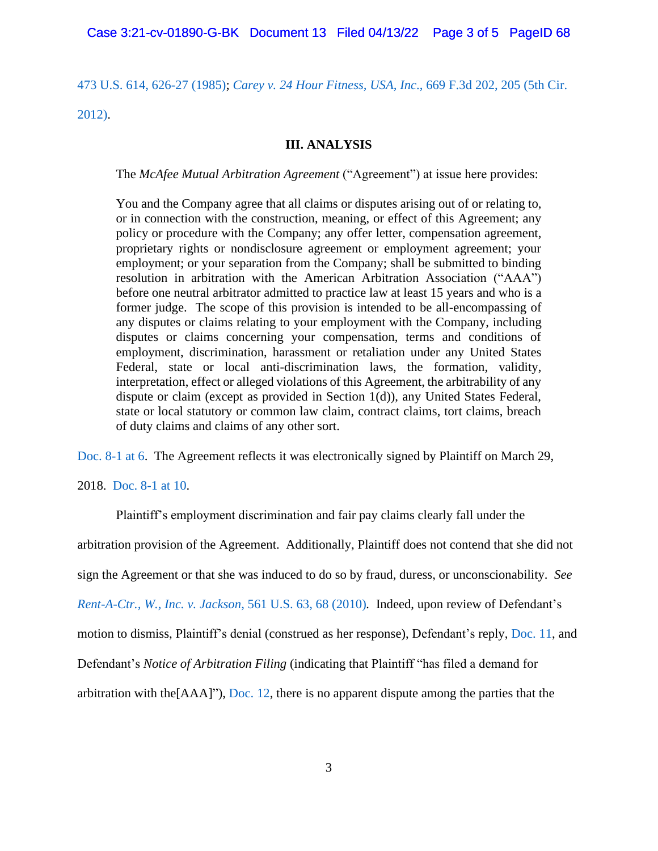[473 U.S. 614, 626-27](https://www.westlaw.com/Document/Ic1d899969c1e11d991d0cc6b54f12d4d/View/FullText.html?transitionType=Default&contextData=(sc.Default)&VR=3.0&RS=da3.0&fragmentIdentifier=co_pp_sp_780_626) (1985); *[Carey v. 24 Hour Fitness, USA, Inc](https://www.westlaw.com/Document/Id7437832477e11e1bd928e1973ff4e60/View/FullText.html?transitionType=Default&contextData=(sc.Default)&VR=3.0&RS=da3.0&fragmentIdentifier=co_pp_sp_506_205)*., 669 F.3d 202, 205 (5th Cir.

[2012\).](https://www.westlaw.com/Document/Id7437832477e11e1bd928e1973ff4e60/View/FullText.html?transitionType=Default&contextData=(sc.Default)&VR=3.0&RS=da3.0&fragmentIdentifier=co_pp_sp_506_205)

## **III. ANALYSIS**

## The *McAfee Mutual Arbitration Agreement* ("Agreement") at issue here provides:

You and the Company agree that all claims or disputes arising out of or relating to, or in connection with the construction, meaning, or effect of this Agreement; any policy or procedure with the Company; any offer letter, compensation agreement, proprietary rights or nondisclosure agreement or employment agreement; your employment; or your separation from the Company; shall be submitted to binding resolution in arbitration with the American Arbitration Association ("AAA") before one neutral arbitrator admitted to practice law at least 15 years and who is a former judge. The scope of this provision is intended to be all-encompassing of any disputes or claims relating to your employment with the Company, including disputes or claims concerning your compensation, terms and conditions of employment, discrimination, harassment or retaliation under any United States Federal, state or local anti-discrimination laws, the formation, validity, interpretation, effect or alleged violations of this Agreement, the arbitrability of any dispute or claim (except as provided in Section 1(d)), any United States Federal, state or local statutory or common law claim, contract claims, tort claims, breach of duty claims and claims of any other sort.

[Doc. 8-1 at 6.](https://ecf.txnd.uscourts.gov/doc1/177114671150?page=6) The Agreement reflects it was electronically signed by Plaintiff on March 29,

#### 2018. [Doc. 8-1 at 10.](https://ecf.txnd.uscourts.gov/doc1/177114671150?page=10)

Plaintiff's employment discrimination and fair pay claims clearly fall under the

arbitration provision of the Agreement. Additionally, Plaintiff does not contend that she did not

sign the Agreement or that she was induced to do so by fraud, duress, or unconscionability. *See*

*[Rent-A-Ctr., W., Inc. v. Jackson](https://www.westlaw.com/Document/Ib0037d697d3d11df8e45a3b5a338fda3/View/FullText.html?transitionType=Default&contextData=(sc.Default)&VR=3.0&RS=da3.0&fragmentIdentifier=co_pp_sp_780_68)*, 561 U.S. 63, 68 (2010)*.* Indeed, upon review of Defendant's

motion to dismiss, Plaintiff's denial (construed as her response), Defendant's reply, [Doc. 11,](https://ecf.txnd.uscourts.gov/doc1/177114783264) and

Defendant's *Notice of Arbitration Filing* (indicating that Plaintiff "has filed a demand for

arbitration with the $[AAA]$ "), [Doc. 12,](https://ecf.txnd.uscourts.gov/doc1/177114829869) there is no apparent dispute among the parties that the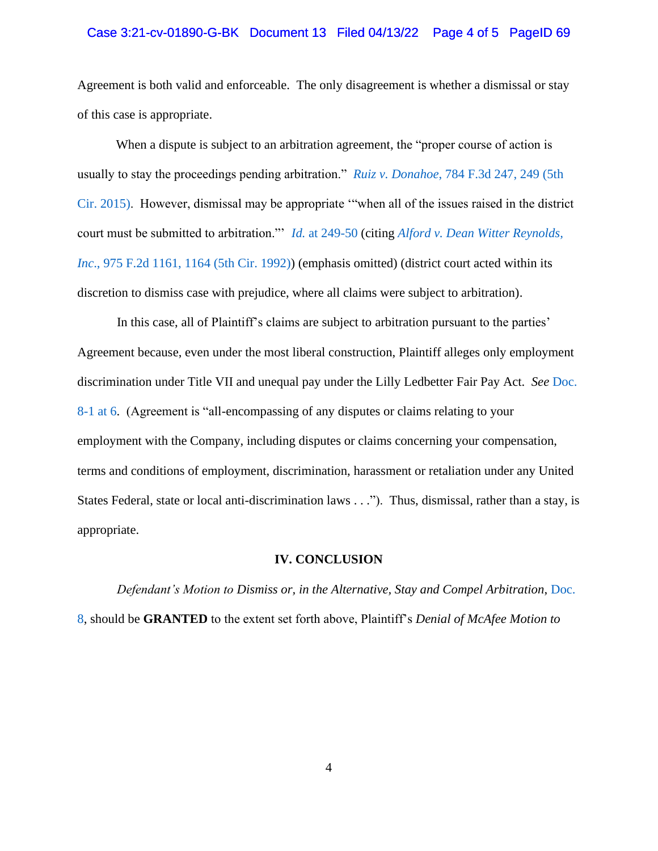#### Case 3:21-cv-01890-G-BK Document 13 Filed 04/13/22 Page 4 of 5 PageID 69

Agreement is both valid and enforceable. The only disagreement is whether a dismissal or stay of this case is appropriate.

When a dispute is subject to an arbitration agreement, the "proper course of action is usually to stay the proceedings pending arbitration." *Ruiz v. Donahoe*[, 784 F.3d 247, 249](https://www.westlaw.com/Document/Ic74f88eee92411e4b86bd602cb8781fa/View/FullText.html?transitionType=Default&contextData=(sc.Default)&VR=3.0&RS=da3.0&fragmentIdentifier=co_pp_sp_506_249) (5th [Cir. 2015\).](https://www.westlaw.com/Document/Ic74f88eee92411e4b86bd602cb8781fa/View/FullText.html?transitionType=Default&contextData=(sc.Default)&VR=3.0&RS=da3.0&fragmentIdentifier=co_pp_sp_506_249) However, dismissal may be appropriate '"when all of the issues raised in the district court must be submitted to arbitration."' *Id.* [at 249-50](https://www.westlaw.com/Document/Ic74f88eee92411e4b86bd602cb8781fa/View/FullText.html?transitionType=Default&contextData=(sc.Default)&VR=3.0&RS=da3.0&fragmentIdentifier=co_pp_sp_506_249) (citing *[Alford v. Dean Witter Reynolds,](https://www.westlaw.com/Document/Icacc174f94d811d9bc61beebb95be672/View/FullText.html?transitionType=Default&contextData=(sc.Default)&VR=3.0&RS=da3.0&fragmentIdentifier=co_pp_sp_350_1164)  Inc*[., 975 F.2d 1161, 1164 \(5th Cir. 1992\)\)](https://www.westlaw.com/Document/Icacc174f94d811d9bc61beebb95be672/View/FullText.html?transitionType=Default&contextData=(sc.Default)&VR=3.0&RS=da3.0&fragmentIdentifier=co_pp_sp_350_1164) (emphasis omitted) (district court acted within its discretion to dismiss case with prejudice, where all claims were subject to arbitration).

In this case, all of Plaintiff's claims are subject to arbitration pursuant to the parties' Agreement because, even under the most liberal construction, Plaintiff alleges only employment discrimination under Title VII and unequal pay under the Lilly Ledbetter Fair Pay Act. *See* [Doc.](https://ecf.txnd.uscourts.gov/doc1/177114671150?page=6)  [8-1 at 6.](https://ecf.txnd.uscourts.gov/doc1/177114671150?page=6) (Agreement is "all-encompassing of any disputes or claims relating to your employment with the Company, including disputes or claims concerning your compensation, terms and conditions of employment, discrimination, harassment or retaliation under any United States Federal, state or local anti-discrimination laws . . ."). Thus, dismissal, rather than a stay, is appropriate.

#### **IV. CONCLUSION**

*Defendant's Motion to Dismiss or, in the Alternative, Stay and Compel Arbitration*, [Doc.](https://ecf.txnd.uscourts.gov/doc1/177114671149)  [8,](https://ecf.txnd.uscourts.gov/doc1/177114671149) should be **GRANTED** to the extent set forth above, Plaintiff's *Denial of McAfee Motion to*